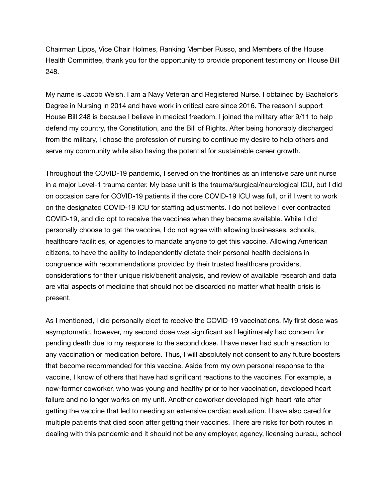Chairman Lipps, Vice Chair Holmes, Ranking Member Russo, and Members of the House Health Committee, thank you for the opportunity to provide proponent testimony on House Bill 248.

My name is Jacob Welsh. I am a Navy Veteran and Registered Nurse. I obtained by Bachelor's Degree in Nursing in 2014 and have work in critical care since 2016. The reason I support House Bill 248 is because I believe in medical freedom. I joined the military after 9/11 to help defend my country, the Constitution, and the Bill of Rights. After being honorably discharged from the military, I chose the profession of nursing to continue my desire to help others and serve my community while also having the potential for sustainable career growth.

Throughout the COVID-19 pandemic, I served on the frontlines as an intensive care unit nurse in a major Level-1 trauma center. My base unit is the trauma/surgical/neurological ICU, but I did on occasion care for COVID-19 patients if the core COVID-19 ICU was full, or if I went to work on the designated COVID-19 ICU for staffing adjustments. I do not believe I ever contracted COVID-19, and did opt to receive the vaccines when they became available. While I did personally choose to get the vaccine, I do not agree with allowing businesses, schools, healthcare facilities, or agencies to mandate anyone to get this vaccine. Allowing American citizens, to have the ability to independently dictate their personal health decisions in congruence with recommendations provided by their trusted healthcare providers, considerations for their unique risk/benefit analysis, and review of available research and data are vital aspects of medicine that should not be discarded no matter what health crisis is present.

As I mentioned, I did personally elect to receive the COVID-19 vaccinations. My first dose was asymptomatic, however, my second dose was significant as I legitimately had concern for pending death due to my response to the second dose. I have never had such a reaction to any vaccination or medication before. Thus, I will absolutely not consent to any future boosters that become recommended for this vaccine. Aside from my own personal response to the vaccine, I know of others that have had significant reactions to the vaccines. For example, a now-former coworker, who was young and healthy prior to her vaccination, developed heart failure and no longer works on my unit. Another coworker developed high heart rate after getting the vaccine that led to needing an extensive cardiac evaluation. I have also cared for multiple patients that died soon after getting their vaccines. There are risks for both routes in dealing with this pandemic and it should not be any employer, agency, licensing bureau, school